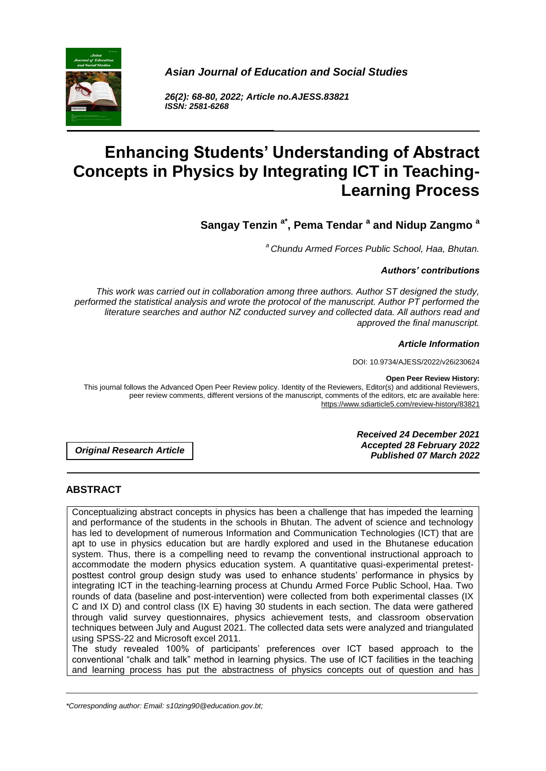

*Asian Journal of Education and Social Studies*

*26(2): 68-80, 2022; Article no.AJESS.83821 ISSN: 2581-6268*

# **Enhancing Students' Understanding of Abstract Concepts in Physics by Integrating ICT in Teaching-Learning Process**

**Sangay Tenzin a\*, Pema Tendar <sup>a</sup> and Nidup Zangmo <sup>a</sup>**

*<sup>a</sup>Chundu Armed Forces Public School, Haa, Bhutan.*

## *Authors' contributions*

*This work was carried out in collaboration among three authors. Author ST designed the study, performed the statistical analysis and wrote the protocol of the manuscript. Author PT performed the literature searches and author NZ conducted survey and collected data. All authors read and approved the final manuscript.*

#### *Article Information*

DOI: 10.9734/AJESS/2022/v26i230624

#### **Open Peer Review History:**

This journal follows the Advanced Open Peer Review policy. Identity of the Reviewers, Editor(s) and additional Reviewers, peer review comments, different versions of the manuscript, comments of the editors, etc are available here: https://www.sdiarticle5.com/review-history/83821

*Original Research Article*

*Received 24 December 2021 Accepted 28 February 2022 Published 07 March 2022*

# **ABSTRACT**

Conceptualizing abstract concepts in physics has been a challenge that has impeded the learning and performance of the students in the schools in Bhutan. The advent of science and technology has led to development of numerous Information and Communication Technologies (ICT) that are apt to use in physics education but are hardly explored and used in the Bhutanese education system. Thus, there is a compelling need to revamp the conventional instructional approach to accommodate the modern physics education system. A quantitative quasi-experimental pretestposttest control group design study was used to enhance students' performance in physics by integrating ICT in the teaching-learning process at Chundu Armed Force Public School, Haa. Two rounds of data (baseline and post-intervention) were collected from both experimental classes (IX C and IX D) and control class (IX E) having 30 students in each section. The data were gathered through valid survey questionnaires, physics achievement tests, and classroom observation techniques between July and August 2021. The collected data sets were analyzed and triangulated using SPSS-22 and Microsoft excel 2011.

The study revealed 100% of participants' preferences over ICT based approach to the conventional "chalk and talk" method in learning physics. The use of ICT facilities in the teaching and learning process has put the abstractness of physics concepts out of question and has

\_\_\_\_\_\_\_\_\_\_\_\_\_\_\_\_\_\_\_\_\_\_\_\_\_\_\_\_\_\_\_\_\_\_\_\_\_\_\_\_\_\_\_\_\_\_\_\_\_\_\_\_\_\_\_\_\_\_\_\_\_\_\_\_\_\_\_\_\_\_\_\_\_\_\_\_\_\_\_\_\_\_\_\_\_\_\_\_\_\_\_\_\_\_\_\_\_\_\_\_\_

*<sup>\*</sup>Corresponding author: Email: s10zing90@education.gov.bt;*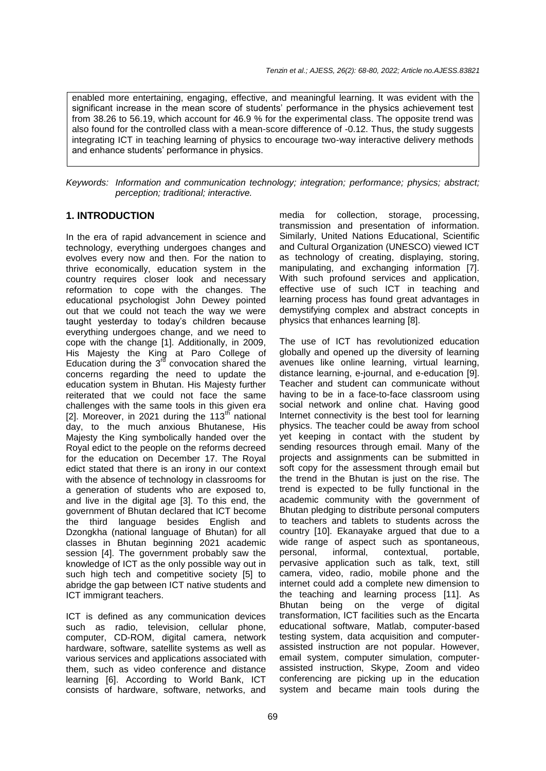enabled more entertaining, engaging, effective, and meaningful learning. It was evident with the significant increase in the mean score of students' performance in the physics achievement test from 38.26 to 56.19, which account for 46.9 % for the experimental class. The opposite trend was also found for the controlled class with a mean-score difference of -0.12. Thus, the study suggests integrating ICT in teaching learning of physics to encourage two-way interactive delivery methods and enhance students' performance in physics.

*Keywords: Information and communication technology; integration; performance; physics; abstract; perception; traditional; interactive.*

## **1. INTRODUCTION**

In the era of rapid advancement in science and technology, everything undergoes changes and evolves every now and then. For the nation to thrive economically, education system in the country requires closer look and necessary reformation to cope with the changes. The educational psychologist John Dewey pointed out that we could not teach the way we were taught yesterday to today's children because everything undergoes change, and we need to cope with the change [1]. Additionally, in 2009, His Majesty the King at Paro College of Education during the  $3<sup>rd</sup>$  convocation shared the concerns regarding the need to update the education system in Bhutan. His Majesty further reiterated that we could not face the same challenges with the same tools in this given era [2]. Moreover, in 2021 during the  $113<sup>th</sup>$  national day, to the much anxious Bhutanese, His Majesty the King symbolically handed over the Royal edict to the people on the reforms decreed for the education on December 17. The Royal edict stated that there is an irony in our context with the absence of technology in classrooms for a generation of students who are exposed to, and live in the digital age [3]. To this end, the government of Bhutan declared that ICT become the third language besides English and Dzongkha (national language of Bhutan) for all classes in Bhutan beginning 2021 academic session [4]. The government probably saw the knowledge of ICT as the only possible way out in such high tech and competitive society [5] to abridge the gap between ICT native students and ICT immigrant teachers.

ICT is defined as any communication devices such as radio, television, cellular phone, computer, CD-ROM, digital camera, network hardware, software, satellite systems as well as various services and applications associated with them, such as video conference and distance learning [6]. According to World Bank, ICT consists of hardware, software, networks, and

media for collection, storage, processing, transmission and presentation of information. Similarly, United Nations Educational, Scientific and Cultural Organization (UNESCO) viewed ICT as technology of creating, displaying, storing, manipulating, and exchanging information [7]. With such profound services and application, effective use of such ICT in teaching and learning process has found great advantages in demystifying complex and abstract concepts in physics that enhances learning [8].

The use of ICT has revolutionized education globally and opened up the diversity of learning avenues like online learning, virtual learning, distance learning, e-journal, and e-education [9]. Teacher and student can communicate without having to be in a face-to-face classroom using social network and online chat. Having good Internet connectivity is the best tool for learning physics. The teacher could be away from school yet keeping in contact with the student by sending resources through email. Many of the projects and assignments can be submitted in soft copy for the assessment through email but the trend in the Bhutan is just on the rise. The trend is expected to be fully functional in the academic community with the government of Bhutan pledging to distribute personal computers to teachers and tablets to students across the country [10]. Ekanayake argued that due to a wide range of aspect such as spontaneous, personal, informal, contextual, portable, pervasive application such as talk, text, still camera, video, radio, mobile phone and the internet could add a complete new dimension to the teaching and learning process [11]. As Bhutan being on the verge of digital transformation, ICT facilities such as the Encarta educational software, Matlab, computer-based testing system, data acquisition and computerassisted instruction are not popular. However, email system, computer simulation, computerassisted instruction, Skype, Zoom and video conferencing are picking up in the education system and became main tools during the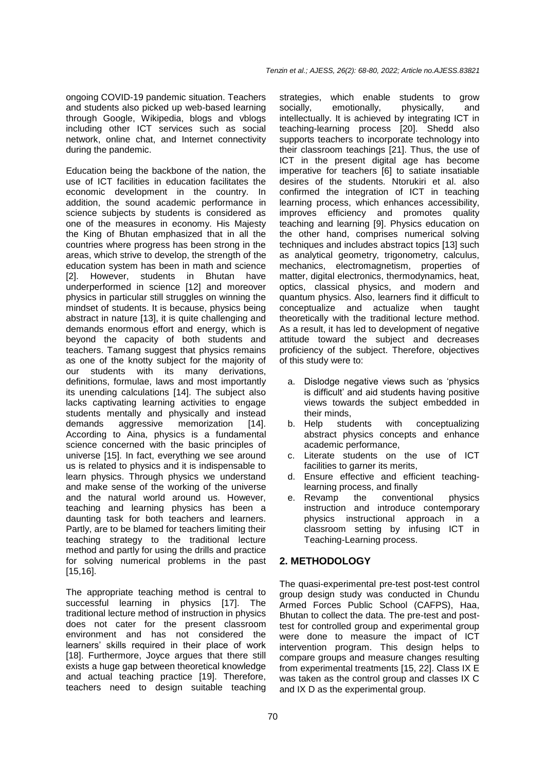ongoing COVID-19 pandemic situation. Teachers and students also picked up web-based learning through Google, Wikipedia, blogs and vblogs including other ICT services such as social network, online chat, and Internet connectivity during the pandemic.

Education being the backbone of the nation, the use of ICT facilities in education facilitates the economic development in the country. In addition, the sound academic performance in science subjects by students is considered as one of the measures in economy. His Majesty the King of Bhutan emphasized that in all the countries where progress has been strong in the areas, which strive to develop, the strength of the education system has been in math and science [2]. However, students in Bhutan have underperformed in science [12] and moreover physics in particular still struggles on winning the mindset of students. It is because, physics being abstract in nature [13], it is quite challenging and demands enormous effort and energy, which is beyond the capacity of both students and teachers. Tamang suggest that physics remains as one of the knotty subject for the majority of our students with its many derivations, definitions, formulae, laws and most importantly its unending calculations [14]. The subject also lacks captivating learning activities to engage students mentally and physically and instead demands aggressive memorization [14]. According to Aina, physics is a fundamental science concerned with the basic principles of universe [15]. In fact, everything we see around us is related to physics and it is indispensable to learn physics. Through physics we understand and make sense of the working of the universe and the natural world around us. However, teaching and learning physics has been a daunting task for both teachers and learners. Partly, are to be blamed for teachers limiting their teaching strategy to the traditional lecture method and partly for using the drills and practice for solving numerical problems in the past [15,16].

The appropriate teaching method is central to successful learning in physics [17]. The traditional lecture method of instruction in physics does not cater for the present classroom environment and has not considered the learners' skills required in their place of work [18]. Furthermore, Joyce argues that there still exists a huge gap between theoretical knowledge and actual teaching practice [19]. Therefore, teachers need to design suitable teaching

strategies, which enable students to grow socially, emotionally, physically, and intellectually. It is achieved by integrating ICT in teaching-learning process [20]. Shedd also supports teachers to incorporate technology into their classroom teachings [21]. Thus, the use of ICT in the present digital age has become imperative for teachers [6] to satiate insatiable desires of the students. Ntorukiri et al. also confirmed the integration of ICT in teaching learning process, which enhances accessibility, improves efficiency and promotes quality teaching and learning [9]. Physics education on the other hand, comprises numerical solving techniques and includes abstract topics [13] such as analytical geometry, trigonometry, calculus, mechanics, electromagnetism, properties of matter, digital electronics, thermodynamics, heat, optics, classical physics, and modern and quantum physics. Also, learners find it difficult to conceptualize and actualize when taught theoretically with the traditional lecture method. As a result, it has led to development of negative attitude toward the subject and decreases proficiency of the subject. Therefore, objectives of this study were to:

- a. Dislodge negative views such as 'physics is difficult' and aid students having positive views towards the subject embedded in their minds,
- b. Help students with conceptualizing abstract physics concepts and enhance academic performance,
- c. Literate students on the use of ICT facilities to garner its merits,
- d. Ensure effective and efficient teachinglearning process, and finally
- e. Revamp the conventional physics instruction and introduce contemporary physics instructional approach in a classroom setting by infusing ICT in Teaching-Learning process.

# **2. METHODOLOGY**

The quasi-experimental pre-test post-test control group design study was conducted in Chundu Armed Forces Public School (CAFPS), Haa, Bhutan to collect the data. The pre-test and posttest for controlled group and experimental group were done to measure the impact of ICT intervention program. This design helps to compare groups and measure changes resulting from experimental treatments [15, 22]. Class IX E was taken as the control group and classes IX C and IX D as the experimental group.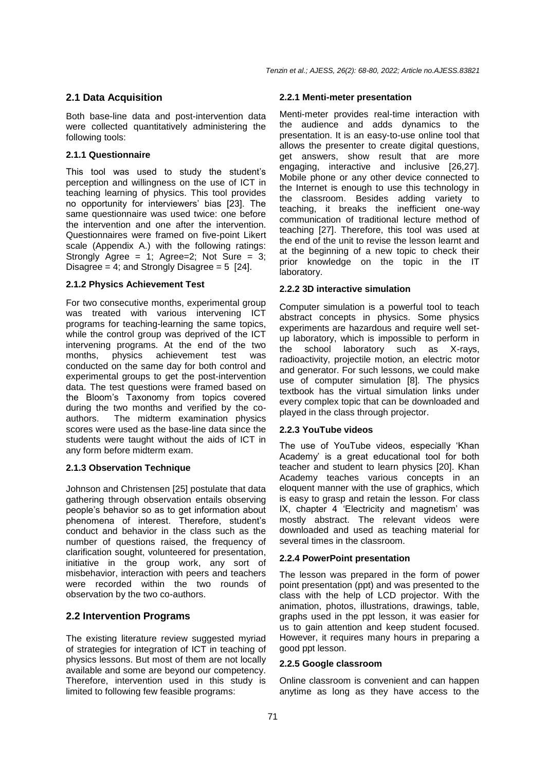#### **2.1 Data Acquisition**

Both base-line data and post-intervention data were collected quantitatively administering the following tools:

#### **2.1.1 Questionnaire**

This tool was used to study the student's perception and willingness on the use of ICT in teaching learning of physics. This tool provides no opportunity for interviewers' bias [23]. The same questionnaire was used twice: one before the intervention and one after the intervention. Questionnaires were framed on five-point Likert scale (Appendix A.) with the following ratings: Strongly Agree = 1; Agree=2; Not Sure = 3; Disagree = 4; and Strongly Disagree =  $5$  [24].

#### **2.1.2 Physics Achievement Test**

For two consecutive months, experimental group was treated with various intervening ICT programs for teaching-learning the same topics, while the control group was deprived of the ICT intervening programs. At the end of the two months, physics achievement test was conducted on the same day for both control and experimental groups to get the post-intervention data. The test questions were framed based on the Bloom's Taxonomy from topics covered during the two months and verified by the coauthors. The midterm examination physics scores were used as the base-line data since the students were taught without the aids of ICT in any form before midterm exam.

## **2.1.3 Observation Technique**

Johnson and Christensen [25] postulate that data gathering through observation entails observing people's behavior so as to get information about phenomena of interest. Therefore, student's conduct and behavior in the class such as the number of questions raised, the frequency of clarification sought, volunteered for presentation, initiative in the group work, any sort of misbehavior, interaction with peers and teachers were recorded within the two rounds of observation by the two co-authors.

## **2.2 Intervention Programs**

The existing literature review suggested myriad of strategies for integration of ICT in teaching of physics lessons. But most of them are not locally available and some are beyond our competency. Therefore, intervention used in this study is limited to following few feasible programs:

#### **2.2.1 Menti-meter presentation**

Menti-meter provides real-time interaction with the audience and adds dynamics to the presentation. It is an easy-to-use online tool that allows the presenter to create digital questions, get answers, show result that are more engaging, interactive and inclusive [26,27]. Mobile phone or any other device connected to the Internet is enough to use this technology in the classroom. Besides adding variety to teaching, it breaks the inefficient one-way communication of traditional lecture method of teaching [27]. Therefore, this tool was used at the end of the unit to revise the lesson learnt and at the beginning of a new topic to check their prior knowledge on the topic in the IT laboratory.

#### **2.2.2 3D interactive simulation**

Computer simulation is a powerful tool to teach abstract concepts in physics. Some physics experiments are hazardous and require well setup laboratory, which is impossible to perform in the school laboratory such as X-rays, radioactivity, projectile motion, an electric motor and generator. For such lessons, we could make use of computer simulation [8]. The physics textbook has the virtual simulation links under every complex topic that can be downloaded and played in the class through projector.

## **2.2.3 YouTube videos**

The use of YouTube videos, especially 'Khan Academy' is a great educational tool for both teacher and student to learn physics [20]. Khan Academy teaches various concepts in an eloquent manner with the use of graphics, which is easy to grasp and retain the lesson. For class IX, chapter 4 'Electricity and magnetism' was mostly abstract. The relevant videos were downloaded and used as teaching material for several times in the classroom.

#### **2.2.4 PowerPoint presentation**

The lesson was prepared in the form of power point presentation (ppt) and was presented to the class with the help of LCD projector. With the animation, photos, illustrations, drawings, table, graphs used in the ppt lesson, it was easier for us to gain attention and keep student focused. However, it requires many hours in preparing a good ppt lesson.

#### **2.2.5 Google classroom**

Online classroom is convenient and can happen anytime as long as they have access to the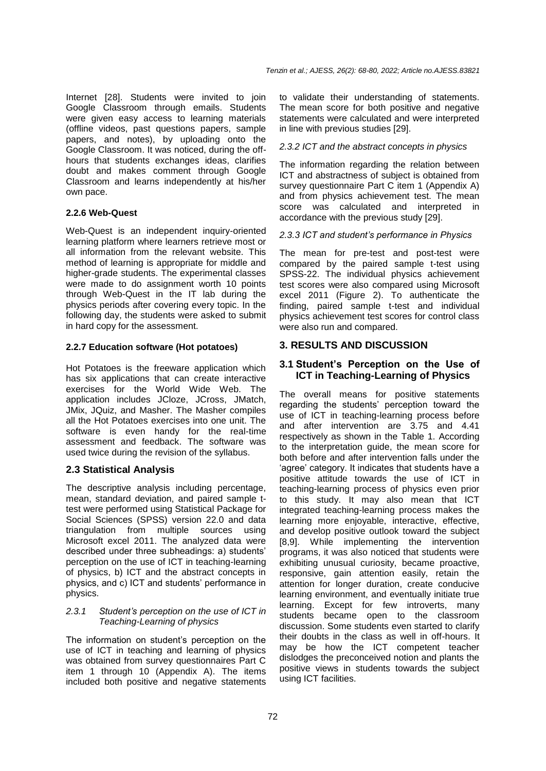Internet [28]. Students were invited to join Google Classroom through emails. Students were given easy access to learning materials (offline videos, past questions papers, sample papers, and notes), by uploading onto the Google Classroom. It was noticed, during the offhours that students exchanges ideas, clarifies doubt and makes comment through Google Classroom and learns independently at his/her own pace.

#### **2.2.6 Web-Quest**

Web-Quest is an independent inquiry-oriented learning platform where learners retrieve most or all information from the relevant website. This method of learning is appropriate for middle and higher-grade students. The experimental classes were made to do assignment worth 10 points through Web-Quest in the IT lab during the physics periods after covering every topic. In the following day, the students were asked to submit in hard copy for the assessment.

#### **2.2.7 Education software (Hot potatoes)**

Hot Potatoes is the freeware application which has six applications that can create interactive exercises for the World Wide Web. The application includes JCloze, JCross, JMatch, JMix, JQuiz, and Masher. The Masher compiles all the Hot Potatoes exercises into one unit. The software is even handy for the real-time assessment and feedback. The software was used twice during the revision of the syllabus.

## **2.3 Statistical Analysis**

The descriptive analysis including percentage, mean, standard deviation, and paired sample ttest were performed using Statistical Package for Social Sciences (SPSS) version 22.0 and data triangulation from multiple sources using Microsoft excel 2011. The analyzed data were described under three subheadings: a) students' perception on the use of ICT in teaching-learning of physics, b) ICT and the abstract concepts in physics, and c) ICT and students' performance in physics.

#### *2.3.1 Student's perception on the use of ICT in Teaching-Learning of physics*

The information on student's perception on the use of ICT in teaching and learning of physics was obtained from survey questionnaires Part C item 1 through 10 (Appendix A). The items included both positive and negative statements to validate their understanding of statements. The mean score for both positive and negative statements were calculated and were interpreted in line with previous studies [29].

#### *2.3.2 ICT and the abstract concepts in physics*

The information regarding the relation between ICT and abstractness of subject is obtained from survey questionnaire Part C item 1 (Appendix A) and from physics achievement test. The mean score was calculated and interpreted in accordance with the previous study [29].

#### *2.3.3 ICT and student's performance in Physics*

The mean for pre-test and post-test were compared by the paired sample t-test using SPSS-22. The individual physics achievement test scores were also compared using Microsoft excel 2011 (Figure 2). To authenticate the finding, paired sample t-test and individual physics achievement test scores for control class were also run and compared.

## **3. RESULTS AND DISCUSSION**

#### **3.1 Student's Perception on the Use of ICT in Teaching-Learning of Physics**

The overall means for positive statements regarding the students' perception toward the use of ICT in teaching-learning process before and after intervention are 3.75 and 4.41 respectively as shown in the Table 1. According to the interpretation guide, the mean score for both before and after intervention falls under the 'agree' category. It indicates that students have a positive attitude towards the use of ICT in teaching-learning process of physics even prior to this study. It may also mean that ICT integrated teaching-learning process makes the learning more enjoyable, interactive, effective, and develop positive outlook toward the subject [8,9]. While implementing the intervention programs, it was also noticed that students were exhibiting unusual curiosity, became proactive, responsive, gain attention easily, retain the attention for longer duration, create conducive learning environment, and eventually initiate true learning. Except for few introverts, many students became open to the classroom discussion. Some students even started to clarify their doubts in the class as well in off-hours. It may be how the ICT competent teacher dislodges the preconceived notion and plants the positive views in students towards the subject using ICT facilities.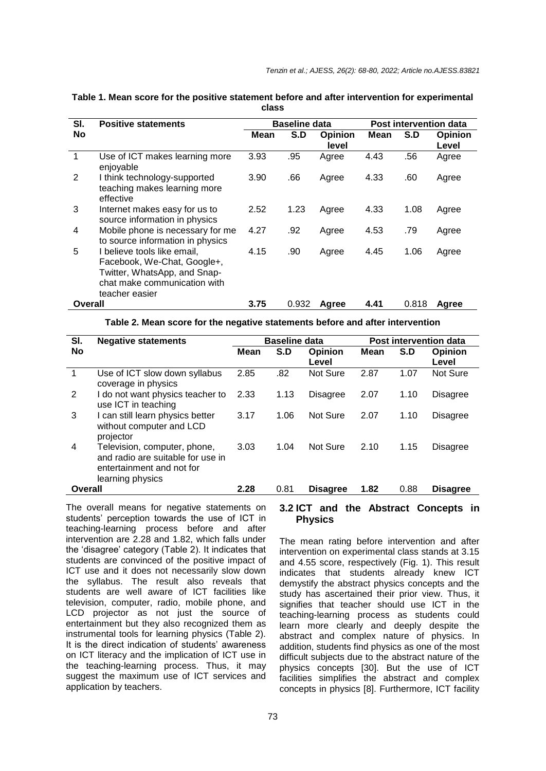| SI.     | <b>Positive statements</b>                                                                                                                   |      | <b>Baseline data</b> |                | Post intervention data |       |         |  |
|---------|----------------------------------------------------------------------------------------------------------------------------------------------|------|----------------------|----------------|------------------------|-------|---------|--|
| No      |                                                                                                                                              | Mean | S.D                  | <b>Opinion</b> | Mean                   | S.D   | Opinion |  |
|         |                                                                                                                                              |      |                      | level          |                        |       | Level   |  |
| 1       | Use of ICT makes learning more<br>enjoyable                                                                                                  | 3.93 | .95                  | Agree          | 4.43                   | .56   | Agree   |  |
| 2       | I think technology-supported<br>teaching makes learning more<br>effective                                                                    | 3.90 | .66                  | Agree          | 4.33                   | .60   | Agree   |  |
| 3       | Internet makes easy for us to<br>source information in physics                                                                               | 2.52 | 1.23                 | Agree          | 4.33                   | 1.08  | Agree   |  |
| 4       | Mobile phone is necessary for me<br>to source information in physics                                                                         | 4.27 | .92                  | Agree          | 4.53                   | .79   | Agree   |  |
| 5       | I believe tools like email,<br>Facebook, We-Chat, Google+,<br>Twitter, WhatsApp, and Snap-<br>chat make communication with<br>teacher easier | 4.15 | .90                  | Agree          | 4.45                   | 1.06  | Agree   |  |
| Overall |                                                                                                                                              | 3.75 | 0.932                | Agree          | 4.41                   | 0.818 | Agree   |  |

#### **Table 1. Mean score for the positive statement before and after intervention for experimental class**

**Table 2. Mean score for the negative statements before and after intervention**

| SI.     | <b>Negative statements</b>                                                                                         |      | <b>Baseline data</b> |                  |      | Post intervention data |                  |  |  |
|---------|--------------------------------------------------------------------------------------------------------------------|------|----------------------|------------------|------|------------------------|------------------|--|--|
| No      |                                                                                                                    | Mean | S.D                  | Opinion<br>Level | Mean | S.D                    | Opinion<br>Level |  |  |
| 1       | Use of ICT slow down syllabus<br>coverage in physics                                                               | 2.85 | .82                  | Not Sure         | 2.87 | 1.07                   | Not Sure         |  |  |
| 2       | I do not want physics teacher to<br>use ICT in teaching                                                            | 2.33 | 1.13                 | Disagree         | 2.07 | 1.10                   | Disagree         |  |  |
| 3       | I can still learn physics better<br>without computer and LCD<br>projector                                          | 3.17 | 1.06                 | Not Sure         | 2.07 | 1.10                   | Disagree         |  |  |
| 4       | Television, computer, phone,<br>and radio are suitable for use in<br>entertainment and not for<br>learning physics | 3.03 | 1.04                 | Not Sure         | 2.10 | 1.15                   | Disagree         |  |  |
| Overall |                                                                                                                    | 2.28 | 0.81                 | <b>Disagree</b>  | 1.82 | 0.88                   | <b>Disagree</b>  |  |  |

The overall means for negative statements on students' perception towards the use of ICT in teaching-learning process before and after intervention are 2.28 and 1.82, which falls under the 'disagree' category (Table 2). It indicates that students are convinced of the positive impact of ICT use and it does not necessarily slow down the syllabus. The result also reveals that students are well aware of ICT facilities like television, computer, radio, mobile phone, and LCD projector as not just the source of entertainment but they also recognized them as instrumental tools for learning physics (Table 2). It is the direct indication of students' awareness on ICT literacy and the implication of ICT use in the teaching-learning process. Thus, it may suggest the maximum use of ICT services and application by teachers.

# **3.2 ICT and the Abstract Concepts in Physics**

The mean rating before intervention and after intervention on experimental class stands at 3.15 and 4.55 score, respectively (Fig. 1). This result indicates that students already knew ICT demystify the abstract physics concepts and the study has ascertained their prior view. Thus, it signifies that teacher should use ICT in the teaching-learning process as students could learn more clearly and deeply despite the abstract and complex nature of physics. In addition, students find physics as one of the most difficult subjects due to the abstract nature of the physics concepts [30]. But the use of ICT facilities simplifies the abstract and complex concepts in physics [8]. Furthermore, ICT facility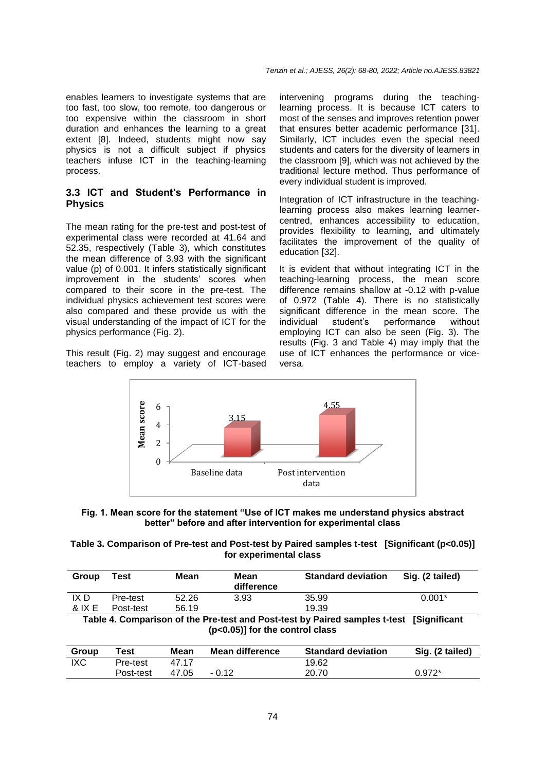enables learners to investigate systems that are too fast, too slow, too remote, too dangerous or too expensive within the classroom in short duration and enhances the learning to a great extent [8]. Indeed, students might now say physics is not a difficult subject if physics teachers infuse ICT in the teaching-learning process.

## **3.3 ICT and Student's Performance in Physics**

The mean rating for the pre-test and post-test of experimental class were recorded at 41.64 and 52.35, respectively (Table 3), which constitutes the mean difference of 3.93 with the significant value (p) of 0.001. It infers statistically significant improvement in the students' scores when compared to their score in the pre-test. The individual physics achievement test scores were also compared and these provide us with the visual understanding of the impact of ICT for the physics performance (Fig. 2).

This result (Fig. 2) may suggest and encourage teachers to employ a variety of ICT-based intervening programs during the teachinglearning process. It is because ICT caters to most of the senses and improves retention power that ensures better academic performance [31]. Similarly, ICT includes even the special need students and caters for the diversity of learners in the classroom [9], which was not achieved by the traditional lecture method. Thus performance of every individual student is improved.

Integration of ICT infrastructure in the teachinglearning process also makes learning learnercentred, enhances accessibility to education, provides flexibility to learning, and ultimately facilitates the improvement of the quality of education [32].

It is evident that without integrating ICT in the teaching-learning process, the mean score difference remains shallow at -0.12 with p-value of 0.972 (Table 4). There is no statistically significant difference in the mean score. The individual student's performance without employing ICT can also be seen (Fig. 3). The results (Fig. 3 and Table 4) may imply that the use of ICT enhances the performance or viceversa.





| Table 3. Comparison of Pre-test and Post-test by Paired samples t-test [Significant (p<0.05)] |  |
|-----------------------------------------------------------------------------------------------|--|
| for experimental class                                                                        |  |

| Group  | Test      | Mean  | <b>Mean</b><br>difference | <b>Standard deviation</b> | Sig. (2 tailed) |
|--------|-----------|-------|---------------------------|---------------------------|-----------------|
| IX D   | Pre-test  | 52.26 | 3.93                      | 35.99                     | $0.001*$        |
| & IX E | Post-test | 56.19 |                           | 19.39                     |                 |

**Table 4. Comparison of the Pre-test and Post-test by Paired samples t-test [Significant (p<0.05)] for the control class**

| Group | ™est      | Mean  | Mean difference | <b>Standard deviation</b> | Sig. (2 tailed) |
|-------|-----------|-------|-----------------|---------------------------|-----------------|
| IXC   | Pre-test  | 47 17 |                 | 19.62                     |                 |
|       | Post-test | 47.05 | $-0.12$         | 20.70                     | $0.972*$        |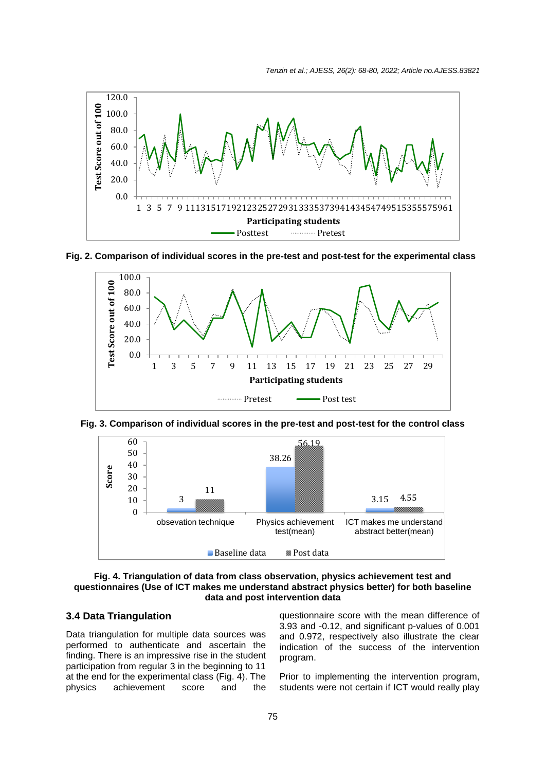*Tenzin et al.; AJESS, 26(2): 68-80, 2022; Article no.AJESS.83821*



#### **Fig. 2. Comparison of individual scores in the pre-test and post-test for the experimental class**







#### **Fig. 4. Triangulation of data from class observation, physics achievement test and questionnaires (Use of ICT makes me understand abstract physics better) for both baseline data and post intervention data**

## **3.4 Data Triangulation**

Data triangulation for multiple data sources was performed to authenticate and ascertain the finding. There is an impressive rise in the student participation from regular 3 in the beginning to 11 at the end for the experimental class (Fig. 4). The physics achievement score and the

questionnaire score with the mean difference of 3.93 and -0.12, and significant p-values of 0.001 and 0.972, respectively also illustrate the clear indication of the success of the intervention program.

Prior to implementing the intervention program, students were not certain if ICT would really play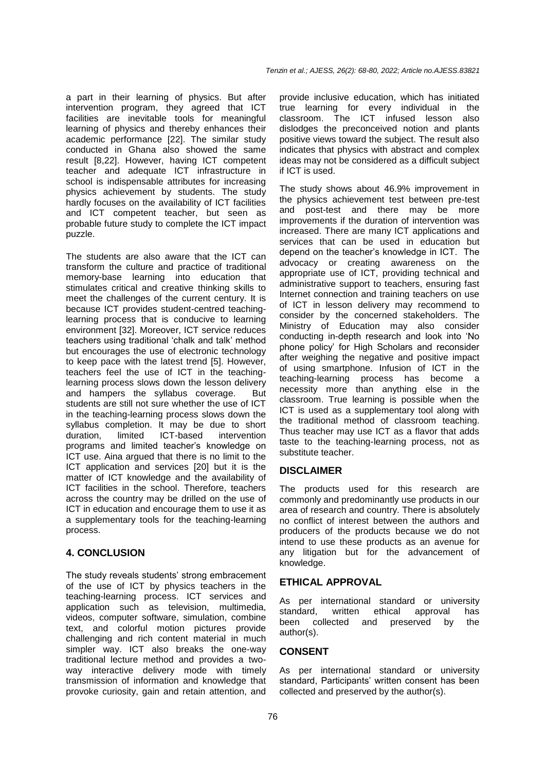a part in their learning of physics. But after intervention program, they agreed that ICT facilities are inevitable tools for meaningful learning of physics and thereby enhances their academic performance [22]. The similar study conducted in Ghana also showed the same result [8,22]. However, having ICT competent teacher and adequate ICT infrastructure in school is indispensable attributes for increasing physics achievement by students. The study hardly focuses on the availability of ICT facilities and ICT competent teacher, but seen as probable future study to complete the ICT impact puzzle.

The students are also aware that the ICT can transform the culture and practice of traditional memory-base learning into education that stimulates critical and creative thinking skills to meet the challenges of the current century. It is because ICT provides student-centred teachinglearning process that is conducive to learning environment [32]. Moreover, ICT service reduces teachers using traditional 'chalk and talk' method but encourages the use of electronic technology to keep pace with the latest trend [5]. However, teachers feel the use of ICT in the teachinglearning process slows down the lesson delivery and hampers the syllabus coverage. But students are still not sure whether the use of ICT in the teaching-learning process slows down the syllabus completion. It may be due to short duration, limited ICT-based intervention programs and limited teacher's knowledge on ICT use. Aina argued that there is no limit to the ICT application and services [20] but it is the matter of ICT knowledge and the availability of ICT facilities in the school. Therefore, teachers across the country may be drilled on the use of ICT in education and encourage them to use it as a supplementary tools for the teaching-learning process.

## **4. CONCLUSION**

The study reveals students' strong embracement of the use of ICT by physics teachers in the teaching-learning process. ICT services and application such as television, multimedia, videos, computer software, simulation, combine text, and colorful motion pictures provide challenging and rich content material in much simpler way. ICT also breaks the one-way traditional lecture method and provides a twoway interactive delivery mode with timely transmission of information and knowledge that provoke curiosity, gain and retain attention, and

provide inclusive education, which has initiated true learning for every individual in the classroom. The ICT infused lesson also dislodges the preconceived notion and plants positive views toward the subject. The result also indicates that physics with abstract and complex ideas may not be considered as a difficult subject if ICT is used.

The study shows about 46.9% improvement in the physics achievement test between pre-test and post-test and there may be more improvements if the duration of intervention was increased. There are many ICT applications and services that can be used in education but depend on the teacher's knowledge in ICT. The advocacy or creating awareness on the appropriate use of ICT, providing technical and administrative support to teachers, ensuring fast Internet connection and training teachers on use of ICT in lesson delivery may recommend to consider by the concerned stakeholders. The Ministry of Education may also consider conducting in-depth research and look into 'No phone policy' for High Scholars and reconsider after weighing the negative and positive impact of using smartphone. Infusion of ICT in the teaching-learning process has become a necessity more than anything else in the classroom. True learning is possible when the ICT is used as a supplementary tool along with the traditional method of classroom teaching. Thus teacher may use ICT as a flavor that adds taste to the teaching-learning process, not as substitute teacher.

## **DISCLAIMER**

The products used for this research are commonly and predominantly use products in our area of research and country. There is absolutely no conflict of interest between the authors and producers of the products because we do not intend to use these products as an avenue for any litigation but for the advancement of knowledge.

## **ETHICAL APPROVAL**

As per international standard or university standard, written ethical approval has been collected and preserved by the author(s).

## **CONSENT**

As per international standard or university standard, Participants' written consent has been collected and preserved by the author(s).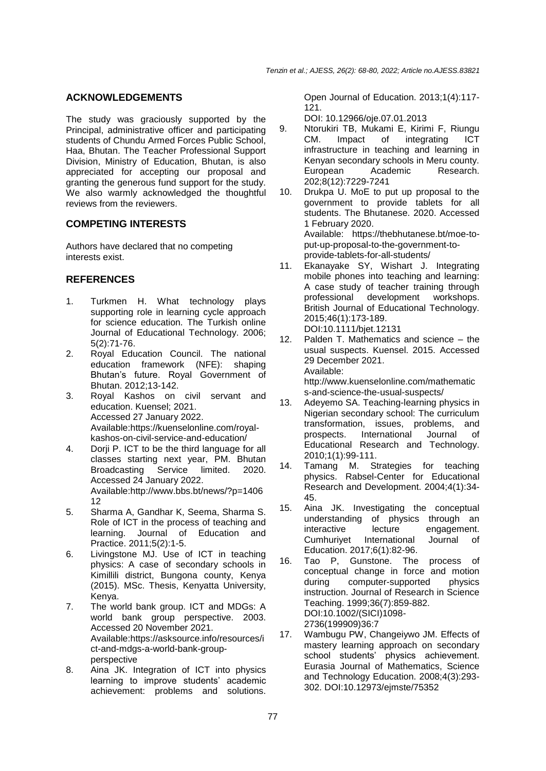# **ACKNOWLEDGEMENTS**

The study was graciously supported by the Principal, administrative officer and participating students of Chundu Armed Forces Public School, Haa, Bhutan. The Teacher Professional Support Division, Ministry of Education, Bhutan, is also appreciated for accepting our proposal and granting the generous fund support for the study. We also warmly acknowledged the thoughtful reviews from the reviewers.

# **COMPETING INTERESTS**

Authors have declared that no competing interests exist.

# **REFERENCES**

- 1. Turkmen H. What technology plays supporting role in learning cycle approach for science education. The Turkish online Journal of Educational Technology. 2006; 5(2):71-76.
- 2. Royal Education Council. The national education framework (NFE): shaping Bhutan's future. Royal Government of Bhutan. 2012;13-142.
- 3. Royal Kashos on civil servant and education. Kuensel; 2021. Accessed 27 January 2022. Available[:https://kuenselonline.com/royal](https://kuenselonline.com/royal-kashos-on-civil-service-and-education/)[kashos-on-civil-service-and-education/](https://kuenselonline.com/royal-kashos-on-civil-service-and-education/)
- 4. Dorji P. ICT to be the third language for all classes starting next year, PM. Bhutan Broadcasting Service limited. 2020. Accessed 24 January 2022. Available[:http://www.bbs.bt/news/?p=1406](http://www.bbs.bt/news/?p=140612) [12](http://www.bbs.bt/news/?p=140612)
- 5. Sharma A, Gandhar K, Seema, Sharma S. Role of ICT in the process of teaching and learning. Journal of Education and Practice. 2011;5(2):1-5.
- 6. Livingstone MJ. Use of ICT in teaching physics: A case of secondary schools in Kimillili district, Bungona county, Kenya (2015). MSc. Thesis, Kenyatta University, Kenya.
- 7. The world bank group. ICT and MDGs: A world bank group perspective. 2003. Accessed 20 November 2021. Available[:https://asksource.info/resources/i](https://asksource.info/resources/ict-and-mdgs-a-world-bank-group-perspective) [ct-and-mdgs-a-world-bank-group](https://asksource.info/resources/ict-and-mdgs-a-world-bank-group-perspective)[perspective](https://asksource.info/resources/ict-and-mdgs-a-world-bank-group-perspective)
- 8. Aina JK. Integration of ICT into physics learning to improve students' academic achievement: problems and solutions.

Open Journal of Education. 2013;1(4):117- 121.

DOI: 10.12966/oje.07.01.2013

- 9. Ntorukiri TB, Mukami E, Kirimi F, Riungu CM. Impact of integrating ICT infrastructure in teaching and learning in Kenyan secondary schools in Meru county. Academic Research. 202;8(12):7229-7241
- 10. Drukpa U. MoE to put up proposal to the government to provide tablets for all students. The Bhutanese. 2020. Accessed 1 February 2020. Available: [https://thebhutanese.bt/moe-to](https://thebhutanese.bt/moe-to-put-up-proposal-to-the-government-to-provide-tablets-for-all-students/)[put-up-proposal-to-the-government-to](https://thebhutanese.bt/moe-to-put-up-proposal-to-the-government-to-provide-tablets-for-all-students/)[provide-tablets-for-all-students/](https://thebhutanese.bt/moe-to-put-up-proposal-to-the-government-to-provide-tablets-for-all-students/)
- 11. Ekanayake SY, Wishart J. Integrating mobile phones into teaching and learning: A case study of teacher training through professional development workshops. British Journal of Educational Technology. 2015;46(1):173-189. DOI:10.1111/bjet.12131
- 12. Palden T. Mathematics and science the usual suspects. Kuensel. 2015. Accessed 29 December 2021. Available: [http://www.kuenselonline.com/mathematic](http://www.kuenselonline.com/mathematics-and-science-the-usual-suspects/)

[s-and-science-the-usual-suspects/](http://www.kuenselonline.com/mathematics-and-science-the-usual-suspects/)

- 13. Adeyemo SA. Teaching-learning physics in Nigerian secondary school: The curriculum transformation, issues, problems, and prospects. International Journal of Educational Research and Technology. 2010;1(1):99-111.
- 14. Tamang M. Strategies for teaching physics. Rabsel-Center for Educational Research and Development. 2004;4(1):34- 45.
- 15. Aina JK. Investigating the conceptual understanding of physics through an interactive lecture engagement. Cumhuriyet International Journal of Education. 2017;6(1):82-96.
- 16. Tao P, Gunstone. The process of conceptual change in force and motion<br>during computer-supported physics during computer-supported instruction. Journal of Research in Science Teaching. 1999;36(7):859-882. DOI:10.1002/(SICI)1098- 2736(199909)36:7
- 17. Wambugu PW, Changeiywo JM. Effects of mastery learning approach on secondary school students' physics achievement. Eurasia Journal of Mathematics, Science and Technology Education. 2008;4(3):293- 302. DOI:10.12973/ejmste/75352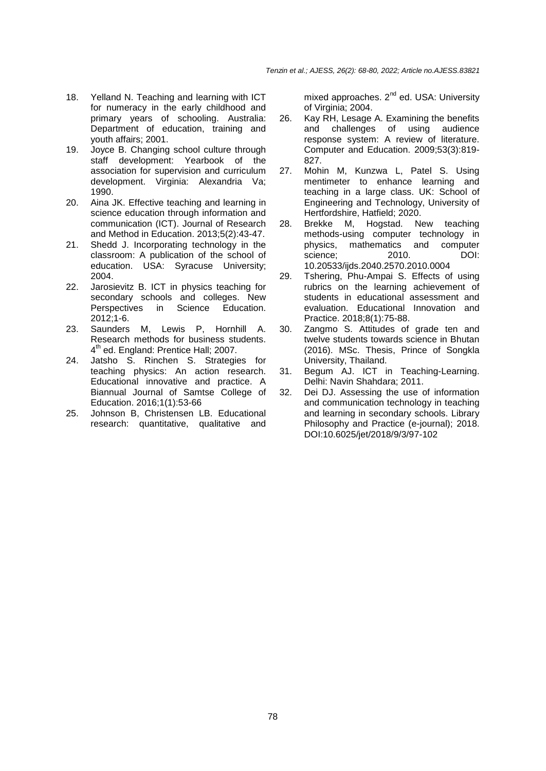- 18. Yelland N. Teaching and learning with ICT for numeracy in the early childhood and primary years of schooling. Australia: Department of education, training and youth affairs; 2001.
- 19. Joyce B. Changing school culture through staff development: Yearbook of the association for supervision and curriculum development. Virginia: Alexandria Va; 1990.
- 20. Aina JK. Effective teaching and learning in science education through information and communication (ICT). Journal of Research and Method in Education. 2013;5(2):43-47.
- 21. Shedd J. Incorporating technology in the classroom: A publication of the school of education. USA: Syracuse University; 2004.
- 22. Jarosievitz B. ICT in physics teaching for secondary schools and colleges. New Perspectives in Science Education. 2012;1-6.
- 23. Saunders M, Lewis P, Hornhill A. Research methods for business students. 4<sup>th</sup> ed. England: Prentice Hall; 2007.
- 24. Jatsho S. Rinchen S. Strategies for teaching physics: An action research. Educational innovative and practice. A Biannual Journal of Samtse College of Education. 2016;1(1):53-66
- 25. Johnson B, Christensen LB. Educational research: quantitative, qualitative and

mixed approaches. 2<sup>nd</sup> ed. USA: University of Virginia: 2004.

- 26. Kay RH, Lesage A. Examining the benefits and challenges of using audience response system: A review of literature. Computer and Education. 2009;53(3):819- 827.
- 27. Mohin M, Kunzwa L, Patel S. Using mentimeter to enhance learning and teaching in a large class. UK: School of Engineering and Technology, University of Hertfordshire, Hatfield; 2020.
- 28. Brekke M, Hogstad. New teaching methods-using computer technology in physics, mathematics and computer<br>science: 2010. DOI: science; 2010. 10.20533/ijds.2040.2570.2010.0004
- 29. Tshering, Phu-Ampai S. Effects of using rubrics on the learning achievement of students in educational assessment and evaluation. Educational Innovation and Practice. 2018;8(1):75-88.
- 30. Zangmo S. Attitudes of grade ten and twelve students towards science in Bhutan (2016). MSc. Thesis, Prince of Songkla University, Thailand.
- 31. Begum AJ. ICT in Teaching-Learning. Delhi: Navin Shahdara; 2011.
- 32. Dei DJ. Assessing the use of information and communication technology in teaching and learning in secondary schools. Library Philosophy and Practice (e-journal); 2018. DOI:10.6025/jet/2018/9/3/97-102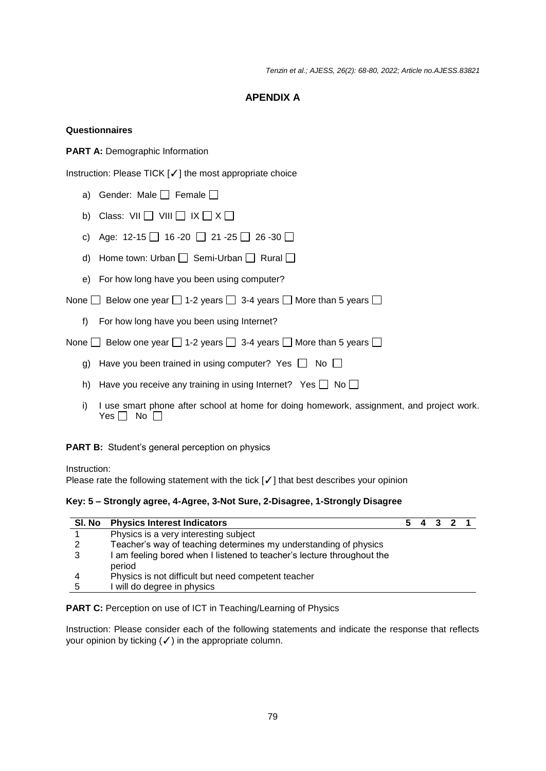*Tenzin et al.; AJESS, 26(2): 68-80, 2022; Article no.AJESS.83821*

# **APENDIX A**

# **Questionnaires**

**PART A: Demographic Information** 

Instruction: Please TICK [✓] the most appropriate choice

- a) Gender: Male  $\Box$  Female  $\Box$
- b) Class:  $VII \prod VIII \prod IX \prod X \prod$
- c) Age:  $12-15$  16 -20 21 -25 26 -30
- d) Home town: Urban  $\Box$  Semi-Urban  $\Box$  Rural  $\Box$
- e) For how long have you been using computer?

None  $\Box$  Below one year  $\Box$  1-2 years  $\Box$  3-4 years  $\Box$  More than 5 years  $\Box$ 

f) For how long have you been using Internet?

None  $\Box$  Below one year  $\Box$  1-2 years  $\Box$  3-4 years  $\Box$  More than 5 years  $\Box$ 

- g) Have you been trained in using computer? Yes  $\Box$  No  $\Box$
- h) Have you receive any training in using Internet? Yes  $\Box$  No  $\Box$
- i) I use smart phone after school at home for doing homework, assignment, and project work. Yes  $\Box$  No  $\Box$

**PART B:** Student's general perception on physics

Instruction:

Please rate the following statement with the tick [√] that best describes your opinion

#### **Key: 5 – Strongly agree, 4-Agree, 3-Not Sure, 2-Disagree, 1-Strongly Disagree**

| SI. No | <b>Physics Interest Indicators</b>                                               |  | 5 4 3 2 1 |  |
|--------|----------------------------------------------------------------------------------|--|-----------|--|
|        | Physics is a very interesting subject                                            |  |           |  |
| 2      | Teacher's way of teaching determines my understanding of physics                 |  |           |  |
| 3      | I am feeling bored when I listened to teacher's lecture throughout the<br>period |  |           |  |
|        | Physics is not difficult but need competent teacher                              |  |           |  |
| 5      | I will do degree in physics                                                      |  |           |  |

**PART C:** Perception on use of ICT in Teaching/Learning of Physics

Instruction: Please consider each of the following statements and indicate the response that reflects your opinion by ticking  $(\checkmark)$  in the appropriate column.